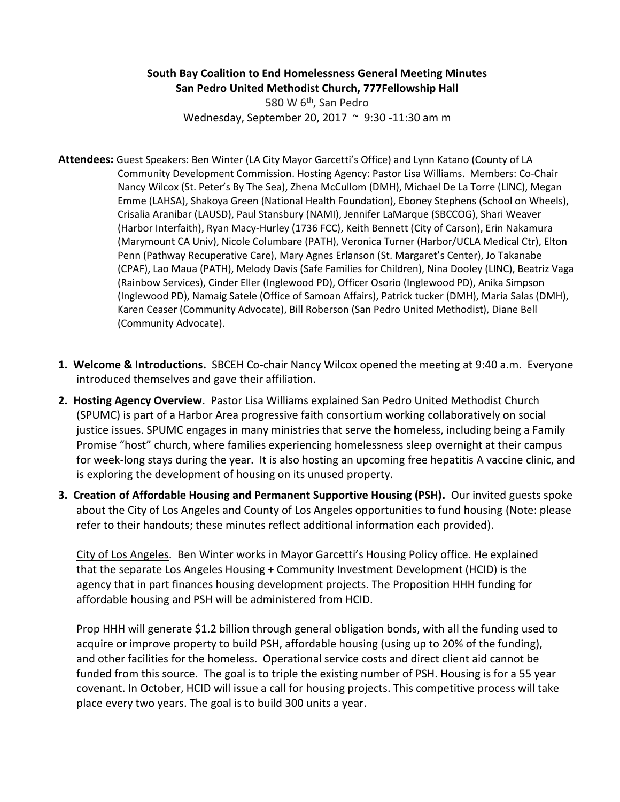## **South Bay Coalition to End Homelessness General Meeting Minutes San Pedro United Methodist Church, 777Fellowship Hall**

580 W 6th, San Pedro Wednesday, September 20, 2017 ~ 9:30 -11:30 am m

- **Attendees:** Guest Speakers: Ben Winter (LA City Mayor Garcetti's Office) and Lynn Katano (County of LA Community Development Commission. Hosting Agency: Pastor Lisa Williams. Members: Co-Chair Nancy Wilcox (St. Peter's By The Sea), Zhena McCullom (DMH), Michael De La Torre (LINC), Megan Emme (LAHSA), Shakoya Green (National Health Foundation), Eboney Stephens (School on Wheels), Crisalia Aranibar (LAUSD), Paul Stansbury (NAMI), Jennifer LaMarque (SBCCOG), Shari Weaver (Harbor Interfaith), Ryan Macy-Hurley (1736 FCC), Keith Bennett (City of Carson), Erin Nakamura (Marymount CA Univ), Nicole Columbare (PATH), Veronica Turner (Harbor/UCLA Medical Ctr), Elton Penn (Pathway Recuperative Care), Mary Agnes Erlanson (St. Margaret's Center), Jo Takanabe (CPAF), Lao Maua (PATH), Melody Davis (Safe Families for Children), Nina Dooley (LINC), Beatriz Vaga (Rainbow Services), Cinder Eller (Inglewood PD), Officer Osorio (Inglewood PD), Anika Simpson (Inglewood PD), Namaig Satele (Office of Samoan Affairs), Patrick tucker (DMH), Maria Salas (DMH), Karen Ceaser (Community Advocate), Bill Roberson (San Pedro United Methodist), Diane Bell (Community Advocate).
- **1. Welcome & Introductions.** SBCEH Co-chair Nancy Wilcox opened the meeting at 9:40 a.m. Everyone introduced themselves and gave their affiliation.
- **2. Hosting Agency Overview**. Pastor Lisa Williams explained San Pedro United Methodist Church (SPUMC) is part of a Harbor Area progressive faith consortium working collaboratively on social justice issues. SPUMC engages in many ministries that serve the homeless, including being a Family Promise "host" church, where families experiencing homelessness sleep overnight at their campus for week-long stays during the year. It is also hosting an upcoming free hepatitis A vaccine clinic, and is exploring the development of housing on its unused property.
- **3. Creation of Affordable Housing and Permanent Supportive Housing (PSH).** Our invited guests spoke about the City of Los Angeles and County of Los Angeles opportunities to fund housing (Note: please refer to their handouts; these minutes reflect additional information each provided).

City of Los Angeles. Ben Winter works in Mayor Garcetti's Housing Policy office. He explained that the separate Los Angeles Housing + Community Investment Development (HCID) is the agency that in part finances housing development projects. The Proposition HHH funding for affordable housing and PSH will be administered from HCID.

Prop HHH will generate \$1.2 billion through general obligation bonds, with all the funding used to acquire or improve property to build PSH, affordable housing (using up to 20% of the funding), and other facilities for the homeless. Operational service costs and direct client aid cannot be funded from this source. The goal is to triple the existing number of PSH. Housing is for a 55 year covenant. In October, HCID will issue a call for housing projects. This competitive process will take place every two years. The goal is to build 300 units a year.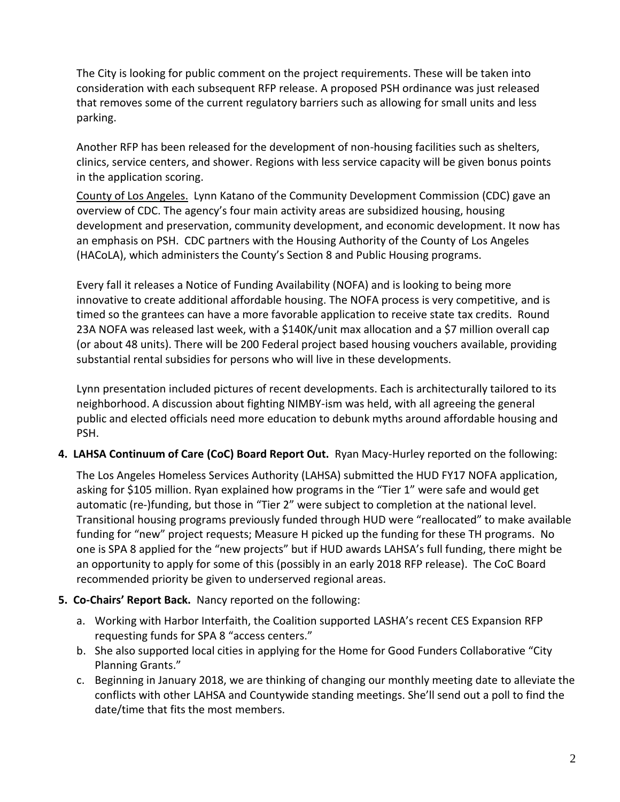The City is looking for public comment on the project requirements. These will be taken into consideration with each subsequent RFP release. A proposed PSH ordinance was just released that removes some of the current regulatory barriers such as allowing for small units and less parking.

Another RFP has been released for the development of non-housing facilities such as shelters, clinics, service centers, and shower. Regions with less service capacity will be given bonus points in the application scoring.

County of Los Angeles. Lynn Katano of the Community Development Commission (CDC) gave an overview of CDC. The agency's four main activity areas are subsidized housing, housing development and preservation, community development, and economic development. It now has an emphasis on PSH. CDC partners with the Housing Authority of the County of Los Angeles (HACoLA), which administers the County's Section 8 and Public Housing programs.

Every fall it releases a Notice of Funding Availability (NOFA) and is looking to being more innovative to create additional affordable housing. The NOFA process is very competitive, and is timed so the grantees can have a more favorable application to receive state tax credits. Round 23A NOFA was released last week, with a \$140K/unit max allocation and a \$7 million overall cap (or about 48 units). There will be 200 Federal project based housing vouchers available, providing substantial rental subsidies for persons who will live in these developments.

Lynn presentation included pictures of recent developments. Each is architecturally tailored to its neighborhood. A discussion about fighting NIMBY-ism was held, with all agreeing the general public and elected officials need more education to debunk myths around affordable housing and PSH.

**4. LAHSA Continuum of Care (CoC) Board Report Out.** Ryan Macy-Hurley reported on the following:

The Los Angeles Homeless Services Authority (LAHSA) submitted the HUD FY17 NOFA application, asking for \$105 million. Ryan explained how programs in the "Tier 1" were safe and would get automatic (re-)funding, but those in "Tier 2" were subject to completion at the national level. Transitional housing programs previously funded through HUD were "reallocated" to make available funding for "new" project requests; Measure H picked up the funding for these TH programs. No one is SPA 8 applied for the "new projects" but if HUD awards LAHSA's full funding, there might be an opportunity to apply for some of this (possibly in an early 2018 RFP release). The CoC Board recommended priority be given to underserved regional areas.

## **5. Co-Chairs' Report Back.** Nancy reported on the following:

- a. Working with Harbor Interfaith, the Coalition supported LASHA's recent CES Expansion RFP requesting funds for SPA 8 "access centers."
- b. She also supported local cities in applying for the Home for Good Funders Collaborative "City Planning Grants."
- c. Beginning in January 2018, we are thinking of changing our monthly meeting date to alleviate the conflicts with other LAHSA and Countywide standing meetings. She'll send out a poll to find the date/time that fits the most members.